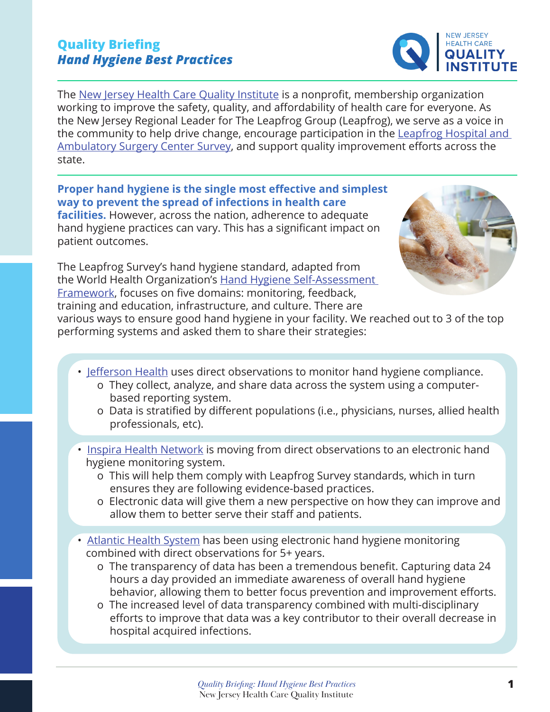#### *Quality Briefing: Hand Hygiene Best Practices* **1** [New Jersey Health Care Quality Institute](http://bit.ly/NJHCQI)

### **Quality Briefing** *Hand Hygiene Best Practices*

The [New Jersey Health Care Quality Institute](http://bit.ly/NJHCQI) is a nonprofit, membership organization working to improve the safety, quality, and affordability of health care for everyone. As the New Jersey Regional Leader for The Leapfrog Group (Leapfrog), we serve as a voice in the community to help drive change, encourage participation in the [Leapfrog Hospital and](https://www.leapfroggroup.org/)  [Ambulatory Surgery Center Survey](https://www.leapfroggroup.org/), and support quality improvement efforts across the state.

**Proper hand hygiene is the single most effective and simplest way to prevent the spread of infections in health care facilities.** However, across the nation, adherence to adequate hand hygiene practices can vary. This has a significant impact on patient outcomes.

The Leapfrog Survey's hand hygiene standard, adapted from the World Health Organization's [Hand Hygiene Self-Assessment](https://www.who.int/publications/i/item/summary-report-hand-hygiene-self-assessment-framework-survey-2015-2016)  [Framework](https://www.who.int/publications/i/item/summary-report-hand-hygiene-self-assessment-framework-survey-2015-2016), focuses on five domains: monitoring, feedback, training and education, infrastructure, and culture. There are

various ways to ensure good hand hygiene in your facility. We reached out to 3 of the top performing systems and asked them to share their strategies:

- [Jefferson Health](https://www.jeffersonhealth.org/) uses direct observations to monitor hand hygiene compliance.
	- o They collect, analyze, and share data across the system using a computerbased reporting system.
	- o Data is stratified by different populations (i.e., physicians, nurses, allied health professionals, etc).
- [Inspira Health Network](https://www.inspirahealthnetwork.org/) is moving from direct observations to an electronic hand hygiene monitoring system.
	- o This will help them comply with Leapfrog Survey standards, which in turn ensures they are following evidence-based practices.
	- o Electronic data will give them a new perspective on how they can improve and allow them to better serve their staff and patients.
- [Atlantic Health System](https://www.atlantichealth.org/) has been using electronic hand hygiene monitoring combined with direct observations for 5+ years.
	- o The transparency of data has been a tremendous benefit. Capturing data 24 hours a day provided an immediate awareness of overall hand hygiene behavior, allowing them to better focus prevention and improvement efforts.
	- o The increased level of data transparency combined with multi-disciplinary efforts to improve that data was a key contributor to their overall decrease in hospital acquired infections.